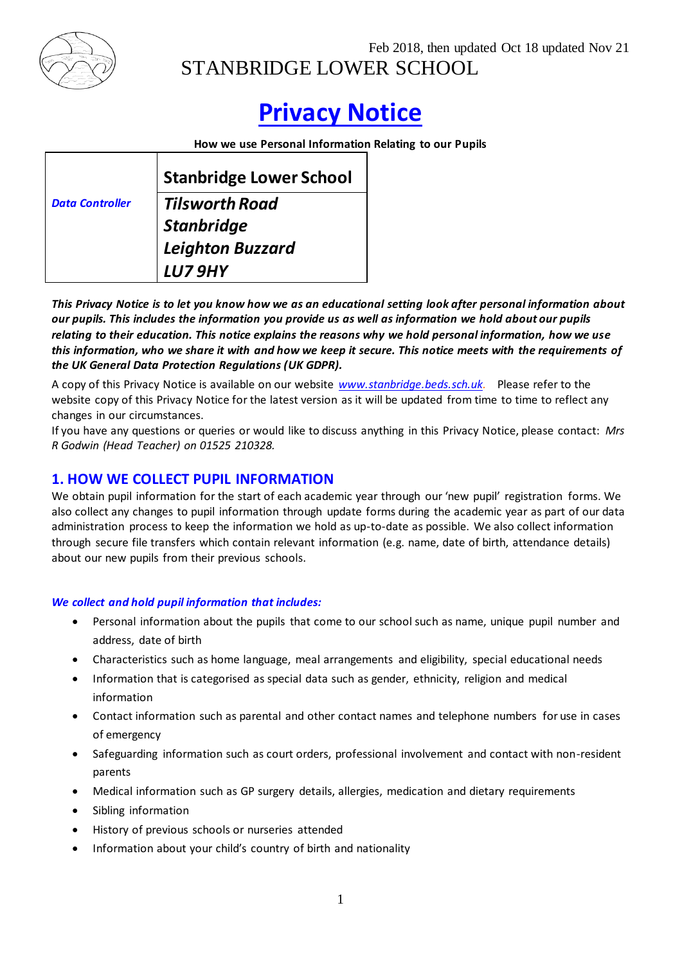

Feb 2018, then updated Oct 18 updated Nov 21 STANBRIDGE LOWER SCHOOL

# **Privacy Notice**

**How we use Personal Information Relating to our Pupils**

|                        | <b>Stanbridge Lower School</b> |
|------------------------|--------------------------------|
| <b>Data Controller</b> | <b>Tilsworth Road</b>          |
|                        | Stanbridge                     |
|                        | Leighton Buzzard               |
|                        | <b>LU79HY</b>                  |

*This Privacy Notice is to let you know how we as an educational setting look after personal information about our pupils. This includes the information you provide us as well as information we hold about our pupils relating to their education. This notice explains the reasons why we hold personal information, how we use this information, who we share it with and how we keep it secure. This notice meets with the requirements of the UK General Data Protection Regulations (UK GDPR).*

A copy of this Privacy Notice is available on our website *[www.stanbridge.beds.sch.uk.](http://www.stanbridge.beds.sch.uk/)* Please refer to the website copy of this Privacy Notice for the latest version as it will be updated from time to time to reflect any changes in our circumstances.

If you have any questions or queries or would like to discuss anything in this Privacy Notice, please contact: *Mrs R Godwin (Head Teacher) on 01525 210328.* 

### **1. HOW WE COLLECT PUPIL INFORMATION**

We obtain pupil information for the start of each academic year through our 'new pupil' registration forms. We also collect any changes to pupil information through update forms during the academic year as part of our data administration process to keep the information we hold as up-to-date as possible. We also collect information through secure file transfers which contain relevant information (e.g. name, date of birth, attendance details) about our new pupils from their previous schools.

### *We collect and hold pupil information that includes:*

- Personal information about the pupils that come to our school such as name, unique pupil number and address, date of birth
- Characteristics such as home language, meal arrangements and eligibility, special educational needs
- Information that is categorised as special data such as gender, ethnicity, religion and medical information
- Contact information such as parental and other contact names and telephone numbers for use in cases of emergency
- Safeguarding information such as court orders, professional involvement and contact with non-resident parents
- Medical information such as GP surgery details, allergies, medication and dietary requirements
- Sibling information
- History of previous schools or nurseries attended
- Information about your child's country of birth and nationality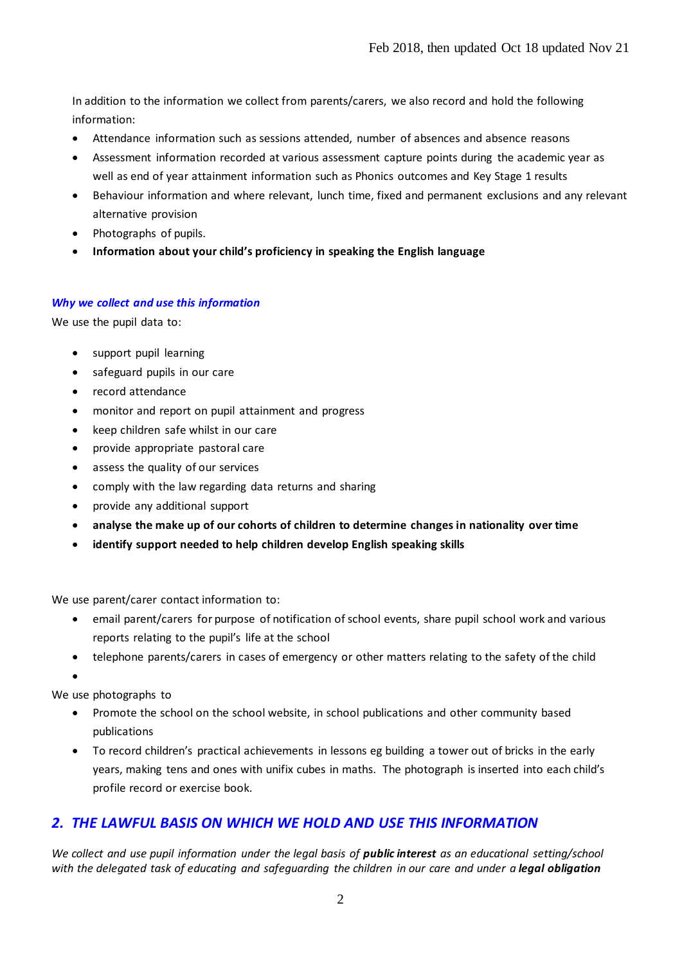In addition to the information we collect from parents/carers, we also record and hold the following information:

- Attendance information such as sessions attended, number of absences and absence reasons
- Assessment information recorded at various assessment capture points during the academic year as well as end of year attainment information such as Phonics outcomes and Key Stage 1 results
- Behaviour information and where relevant, lunch time, fixed and permanent exclusions and any relevant alternative provision
- Photographs of pupils.
- **Information about your child's proficiency in speaking the English language**

#### *Why we collect and use this information*

We use the pupil data to:

- support pupil learning
- safeguard pupils in our care
- record attendance
- monitor and report on pupil attainment and progress
- keep children safe whilst in our care
- provide appropriate pastoral care
- assess the quality of our services
- comply with the law regarding data returns and sharing
- provide any additional support
- **analyse the make up of our cohorts of children to determine changes in nationality over time**
- **identify support needed to help children develop English speaking skills**

We use parent/carer contact information to:

- email parent/carers for purpose of notification of school events, share pupil school work and various reports relating to the pupil's life at the school
- telephone parents/carers in cases of emergency or other matters relating to the safety of the child

 $\bullet$ 

We use photographs to

- Promote the school on the school website, in school publications and other community based publications
- To record children's practical achievements in lessons eg building a tower out of bricks in the early years, making tens and ones with unifix cubes in maths. The photograph is inserted into each child's profile record or exercise book.

## *2. THE LAWFUL BASIS ON WHICH WE HOLD AND USE THIS INFORMATION*

*We collect and use pupil information under the legal basis of <i>public interest as an educational setting/school with the delegated task of educating and safeguarding the children in our care and under a legal obligation*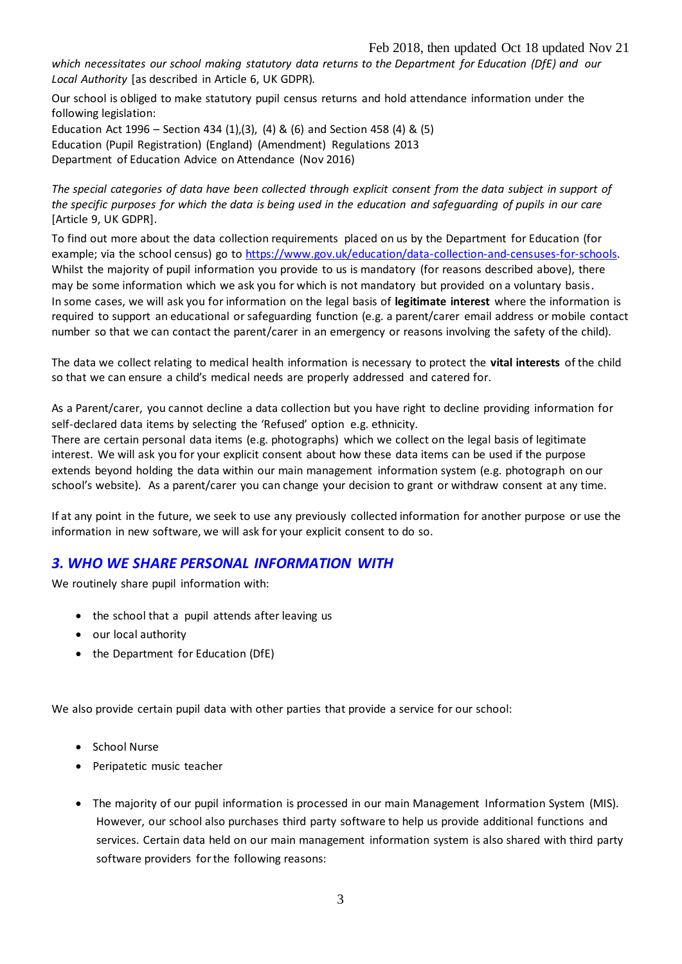*which necessitates our school making statutory data returns to the Department for Education (DfE) and our Local Authority* [as described in Article 6, UK GDPR)*.* 

Our school is obliged to make statutory pupil census returns and hold attendance information under the following legislation:

Education Act 1996 – Section 434 (1),(3), (4) & (6) and Section 458 (4) & (5) Education (Pupil Registration) (England) (Amendment) Regulations 2013 Department of Education Advice on Attendance (Nov 2016)

*The special categories of data have been collected through explicit consent from the data subject in support of the specific purposes for which the data is being used in the education and safeguarding of pupils in our care*  [Article 9, UK GDPR].

To find out more about the data collection requirements placed on us by the Department for Education (for example; via the school census) go to [https://www.gov.uk/education/data-collection-and-censuses-for-schools.](https://www.gov.uk/education/data-collection-and-censuses-for-schools) Whilst the majority of pupil information you provide to us is mandatory (for reasons described above), there may be some information which we ask you for which is not mandatory but provided on a voluntary basis. In some cases, we will ask you for information on the legal basis of **legitimate interest** where the information is required to support an educational or safeguarding function (e.g. a parent/carer email address or mobile contact number so that we can contact the parent/carer in an emergency or reasons involving the safety of the child).

The data we collect relating to medical health information is necessary to protect the **vital interests** of the child so that we can ensure a child's medical needs are properly addressed and catered for.

As a Parent/carer, you cannot decline a data collection but you have right to decline providing information for self-declared data items by selecting the 'Refused' option e.g. ethnicity.

There are certain personal data items (e.g. photographs) which we collect on the legal basis of legitimate interest. We will ask you for your explicit consent about how these data items can be used if the purpose extends beyond holding the data within our main management information system (e.g. photograph on our school's website). As a parent/carer you can change your decision to grant or withdraw consent at any time.

If at any point in the future, we seek to use any previously collected information for another purpose or use the information in new software, we will ask for your explicit consent to do so.

### *3. WHO WE SHARE PERSONAL INFORMATION WITH*

We routinely share pupil information with:

- the school that a pupil attends after leaving us
- our local authority
- the Department for Education (DfE)

We also provide certain pupil data with other parties that provide a service for our school:

- School Nurse
- Peripatetic music teacher
- The majority of our pupil information is processed in our main Management Information System (MIS). However, our school also purchases third party software to help us provide additional functions and services. Certain data held on our main management information system is also shared with third party software providers for the following reasons: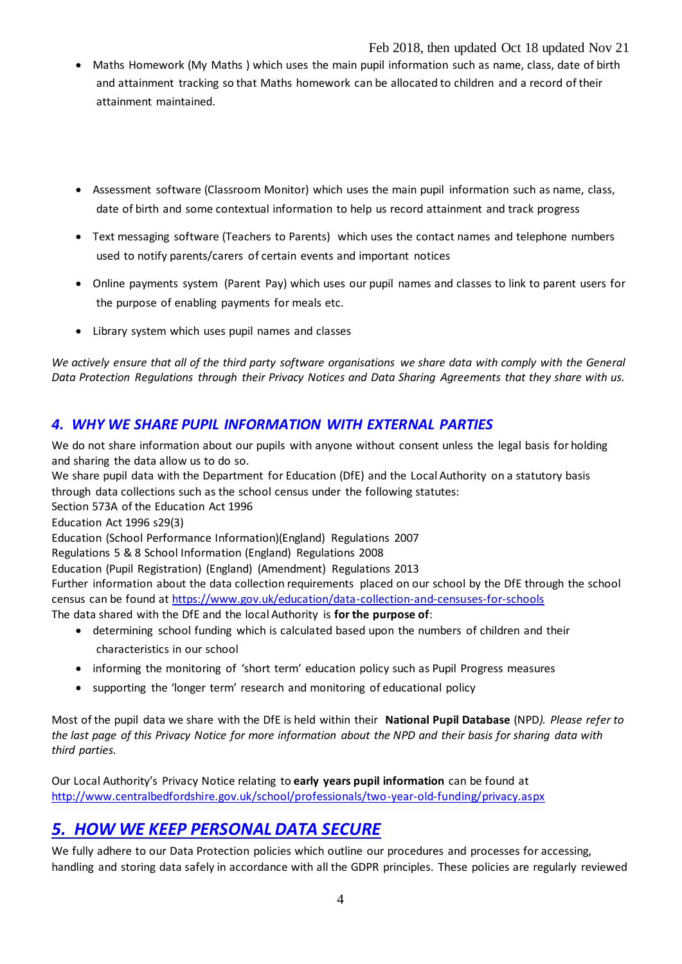### Feb 2018, then updated Oct 18 updated Nov 21

- Maths Homework (My Maths ) which uses the main pupil information such as name, class, date of birth and attainment tracking so that Maths homework can be allocated to children and a record of their attainment maintained.
- Assessment software (Classroom Monitor) which uses the main pupil information such as name, class, date of birth and some contextual information to help us record attainment and track progress
- Text messaging software (Teachers to Parents) which uses the contact names and telephone numbers used to notify parents/carers of certain events and important notices
- Online payments system (Parent Pay) which uses our pupil names and classes to link to parent users for the purpose of enabling payments for meals etc.
- Library system which uses pupil names and classes

*We actively ensure that all of the third party software organisations we share data with comply with the General Data Protection Regulations through their Privacy Notices and Data Sharing Agreements that they share with us.*

# *4. WHY WE SHARE PUPIL INFORMATION WITH EXTERNAL PARTIES*

We do not share information about our pupils with anyone without consent unless the legal basis for holding and sharing the data allow us to do so.

We share pupil data with the Department for Education (DfE) and the Local Authority on a statutory basis through data collections such as the school census under the following statutes:

Section 573A of the Education Act 1996

Education Act 1996 s29(3)

Education (School Performance Information)(England) Regulations 2007

Regulations 5 & 8 School Information (England) Regulations 2008

Education (Pupil Registration) (England) (Amendment) Regulations 2013

Further information about the data collection requirements placed on our school by the DfE through the school census can be found at<https://www.gov.uk/education/data-collection-and-censuses-for-schools>

The data shared with the DfE and the local Authority is **for the purpose of**:

- determining school funding which is calculated based upon the numbers of children and their characteristics in our school
- informing the monitoring of 'short term' education policy such as Pupil Progress measures
- supporting the 'longer term' research and monitoring of educational policy

Most of the pupil data we share with the DfE is held within their **National Pupil Database** (NPD*). Please refer to the last page of this Privacy Notice for more information about the NPD and their basis for sharing data with third parties.*

Our Local Authority's Privacy Notice relating to **early years pupil information** can be found at <http://www.centralbedfordshire.gov.uk/school/professionals/two-year-old-funding/privacy.aspx>

# *5. HOW WE KEEP PERSONAL DATA SECURE*

We fully adhere to our Data Protection policies which outline our procedures and processes for accessing, handling and storing data safely in accordance with all the GDPR principles. These policies are regularly reviewed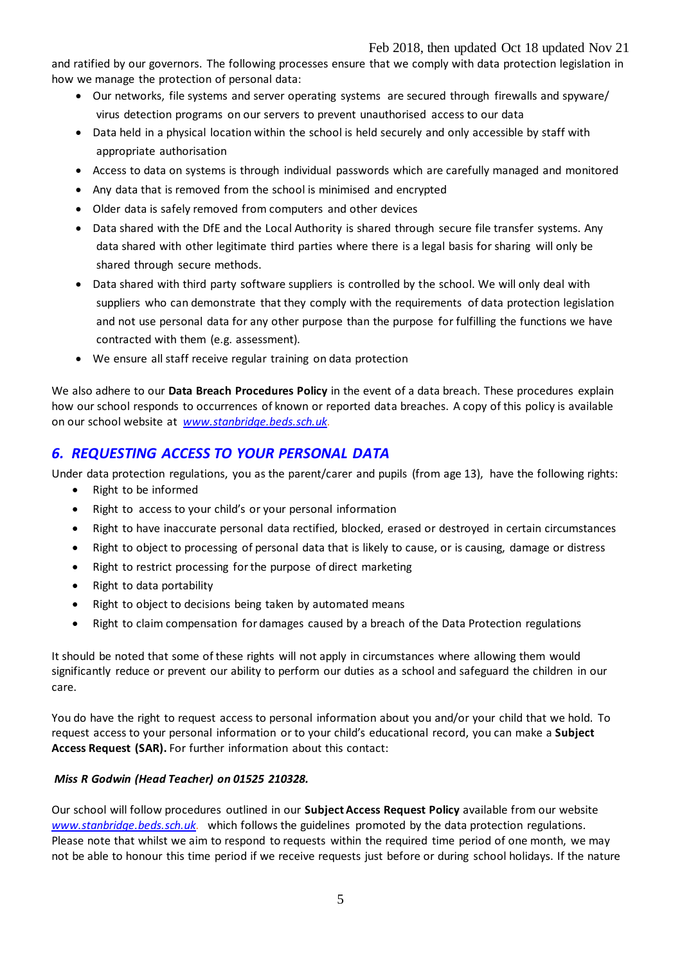and ratified by our governors. The following processes ensure that we comply with data protection legislation in how we manage the protection of personal data:

- Our networks, file systems and server operating systems are secured through firewalls and spyware/ virus detection programs on our servers to prevent unauthorised access to our data
- Data held in a physical location within the school is held securely and only accessible by staff with appropriate authorisation
- Access to data on systems is through individual passwords which are carefully managed and monitored
- Any data that is removed from the school is minimised and encrypted
- Older data is safely removed from computers and other devices
- Data shared with the DfE and the Local Authority is shared through secure file transfer systems. Any data shared with other legitimate third parties where there is a legal basis for sharing will only be shared through secure methods.
- Data shared with third party software suppliers is controlled by the school. We will only deal with suppliers who can demonstrate that they comply with the requirements of data protection legislation and not use personal data for any other purpose than the purpose for fulfilling the functions we have contracted with them (e.g. assessment).
- We ensure all staff receive regular training on data protection

We also adhere to our **Data Breach Procedures Policy** in the event of a data breach. These procedures explain how our school responds to occurrences of known or reported data breaches. A copy of this policy is available on our school website at *[www.stanbridge.beds.sch.uk.](http://www.stanbridge.beds.sch.uk/)*

# *6. REQUESTING ACCESS TO YOUR PERSONAL DATA*

Under data protection regulations, you as the parent/carer and pupils (from age 13), have the following rights:

- Right to be informed
- Right to access to your child's or your personal information
- Right to have inaccurate personal data rectified, blocked, erased or destroyed in certain circumstances
- Right to object to processing of personal data that is likely to cause, or is causing, damage or distress
- Right to restrict processing for the purpose of direct marketing
- Right to data portability
- Right to object to decisions being taken by automated means
- Right to claim compensation for damages caused by a breach of the Data Protection regulations

It should be noted that some of these rights will not apply in circumstances where allowing them would significantly reduce or prevent our ability to perform our duties as a school and safeguard the children in our care.

You do have the right to request access to personal information about you and/or your child that we hold. To request access to your personal information or to your child's educational record, you can make a **Subject Access Request (SAR).** For further information about this contact:

### *Miss R Godwin (Head Teacher) on 01525 210328.*

Our school will follow procedures outlined in our **Subject Access Request Policy** available from our website *[www.stanbridge.beds.sch.uk.](http://www.stanbridge.beds.sch.uk/)* which follows the guidelines promoted by the data protection regulations. Please note that whilst we aim to respond to requests within the required time period of one month, we may not be able to honour this time period if we receive requests just before or during school holidays. If the nature